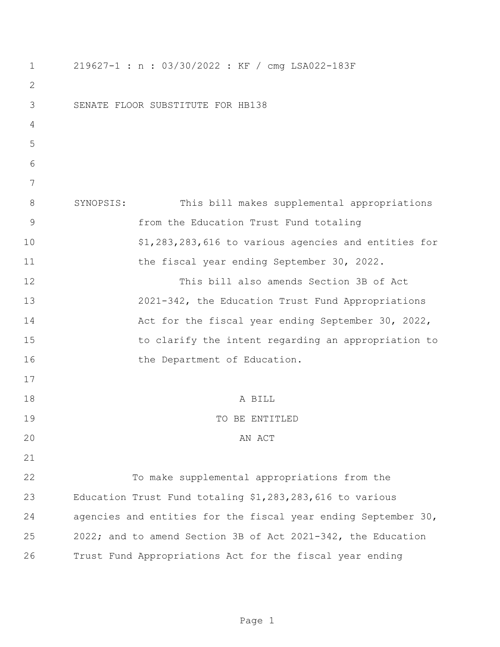| 1              | 219627-1 : n : 03/30/2022 : KF / cmg LSA022-183F               |
|----------------|----------------------------------------------------------------|
| 2              |                                                                |
| 3              | SENATE FLOOR SUBSTITUTE FOR HB138                              |
| 4              |                                                                |
| 5              |                                                                |
| 6              |                                                                |
| 7              |                                                                |
| 8              | SYNOPSIS:<br>This bill makes supplemental appropriations       |
| $\overline{9}$ | from the Education Trust Fund totaling                         |
| 10             | \$1,283,283,616 to various agencies and entities for           |
| 11             | the fiscal year ending September 30, 2022.                     |
| 12             | This bill also amends Section 3B of Act                        |
| 13             | 2021-342, the Education Trust Fund Appropriations              |
| 14             | Act for the fiscal year ending September 30, 2022,             |
| 15             | to clarify the intent regarding an appropriation to            |
| 16             | the Department of Education.                                   |
| 17             |                                                                |
| 18             | A BILL                                                         |
| 19             | TO BE ENTITLED                                                 |
| 20             | AN ACT                                                         |
| 21             |                                                                |
| 22             | To make supplemental appropriations from the                   |
| 23             | Education Trust Fund totaling \$1,283,283,616 to various       |
| 24             | agencies and entities for the fiscal year ending September 30, |
| 25             | 2022; and to amend Section 3B of Act 2021-342, the Education   |
| 26             | Trust Fund Appropriations Act for the fiscal year ending       |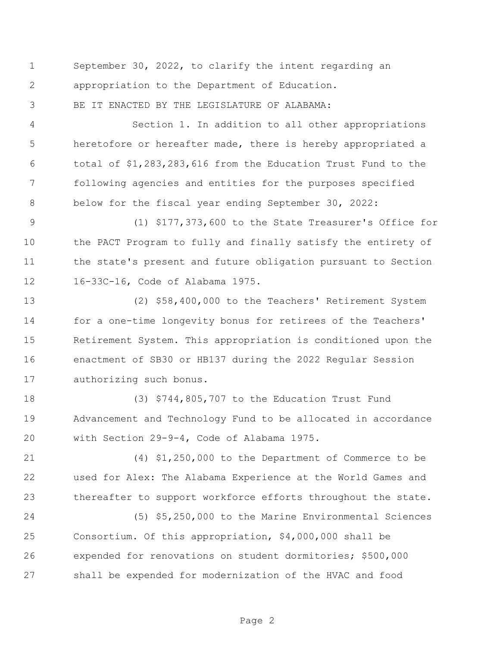September 30, 2022, to clarify the intent regarding an appropriation to the Department of Education. BE IT ENACTED BY THE LEGISLATURE OF ALABAMA:

 Section 1. In addition to all other appropriations heretofore or hereafter made, there is hereby appropriated a total of \$1,283,283,616 from the Education Trust Fund to the following agencies and entities for the purposes specified below for the fiscal year ending September 30, 2022:

 (1) \$177,373,600 to the State Treasurer's Office for the PACT Program to fully and finally satisfy the entirety of the state's present and future obligation pursuant to Section 16-33C-16, Code of Alabama 1975.

 (2) \$58,400,000 to the Teachers' Retirement System for a one-time longevity bonus for retirees of the Teachers' Retirement System. This appropriation is conditioned upon the enactment of SB30 or HB137 during the 2022 Regular Session authorizing such bonus.

 (3) \$744,805,707 to the Education Trust Fund Advancement and Technology Fund to be allocated in accordance with Section 29-9-4, Code of Alabama 1975.

 (4) \$1,250,000 to the Department of Commerce to be used for Alex: The Alabama Experience at the World Games and thereafter to support workforce efforts throughout the state.

 (5) \$5,250,000 to the Marine Environmental Sciences Consortium. Of this appropriation, \$4,000,000 shall be expended for renovations on student dormitories; \$500,000 shall be expended for modernization of the HVAC and food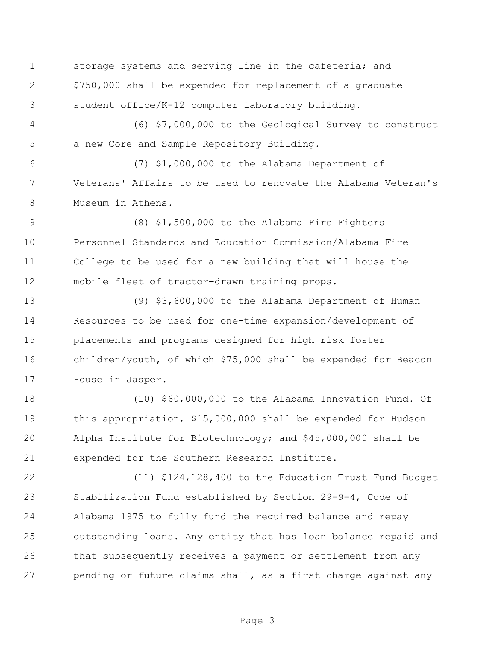storage systems and serving line in the cafeteria; and \$750,000 shall be expended for replacement of a graduate student office/K-12 computer laboratory building.

 (6) \$7,000,000 to the Geological Survey to construct a new Core and Sample Repository Building.

 (7) \$1,000,000 to the Alabama Department of Veterans' Affairs to be used to renovate the Alabama Veteran's Museum in Athens.

 (8) \$1,500,000 to the Alabama Fire Fighters Personnel Standards and Education Commission/Alabama Fire College to be used for a new building that will house the mobile fleet of tractor-drawn training props.

 (9) \$3,600,000 to the Alabama Department of Human Resources to be used for one-time expansion/development of placements and programs designed for high risk foster children/youth, of which \$75,000 shall be expended for Beacon House in Jasper.

 (10) \$60,000,000 to the Alabama Innovation Fund. Of this appropriation, \$15,000,000 shall be expended for Hudson Alpha Institute for Biotechnology; and \$45,000,000 shall be expended for the Southern Research Institute.

 (11) \$124,128,400 to the Education Trust Fund Budget Stabilization Fund established by Section 29-9-4, Code of Alabama 1975 to fully fund the required balance and repay outstanding loans. Any entity that has loan balance repaid and that subsequently receives a payment or settlement from any pending or future claims shall, as a first charge against any

Page 3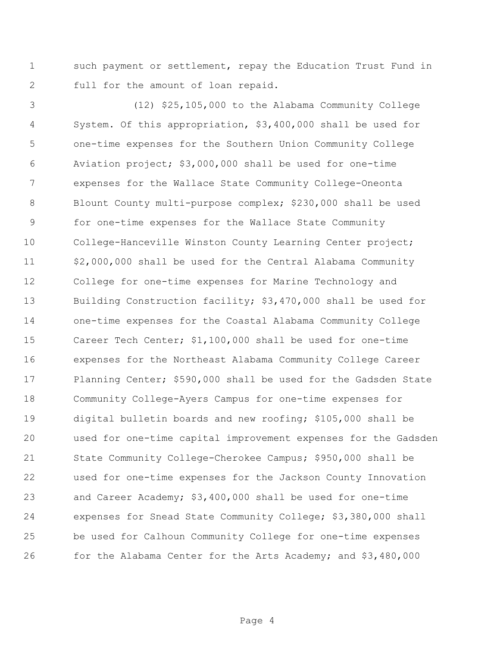such payment or settlement, repay the Education Trust Fund in full for the amount of loan repaid.

 (12) \$25,105,000 to the Alabama Community College System. Of this appropriation, \$3,400,000 shall be used for one-time expenses for the Southern Union Community College Aviation project; \$3,000,000 shall be used for one-time expenses for the Wallace State Community College-Oneonta Blount County multi-purpose complex; \$230,000 shall be used for one-time expenses for the Wallace State Community College-Hanceville Winston County Learning Center project; \$2,000,000 shall be used for the Central Alabama Community College for one-time expenses for Marine Technology and Building Construction facility; \$3,470,000 shall be used for one-time expenses for the Coastal Alabama Community College Career Tech Center; \$1,100,000 shall be used for one-time expenses for the Northeast Alabama Community College Career Planning Center; \$590,000 shall be used for the Gadsden State Community College-Ayers Campus for one-time expenses for digital bulletin boards and new roofing; \$105,000 shall be used for one-time capital improvement expenses for the Gadsden State Community College-Cherokee Campus; \$950,000 shall be used for one-time expenses for the Jackson County Innovation and Career Academy; \$3,400,000 shall be used for one-time expenses for Snead State Community College; \$3,380,000 shall be used for Calhoun Community College for one-time expenses for the Alabama Center for the Arts Academy; and \$3,480,000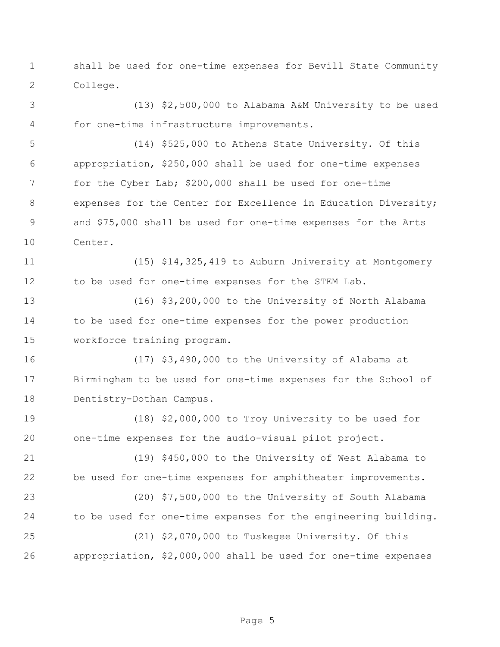shall be used for one-time expenses for Bevill State Community College.

 (13) \$2,500,000 to Alabama A&M University to be used for one-time infrastructure improvements.

 (14) \$525,000 to Athens State University. Of this appropriation, \$250,000 shall be used for one-time expenses for the Cyber Lab; \$200,000 shall be used for one-time expenses for the Center for Excellence in Education Diversity; and \$75,000 shall be used for one-time expenses for the Arts Center.

 (15) \$14,325,419 to Auburn University at Montgomery 12 to be used for one-time expenses for the STEM Lab.

 (16) \$3,200,000 to the University of North Alabama to be used for one-time expenses for the power production workforce training program.

 (17) \$3,490,000 to the University of Alabama at Birmingham to be used for one-time expenses for the School of Dentistry-Dothan Campus.

 (18) \$2,000,000 to Troy University to be used for one-time expenses for the audio-visual pilot project.

 (19) \$450,000 to the University of West Alabama to be used for one-time expenses for amphitheater improvements.

 (20) \$7,500,000 to the University of South Alabama to be used for one-time expenses for the engineering building.

 (21) \$2,070,000 to Tuskegee University. Of this appropriation, \$2,000,000 shall be used for one-time expenses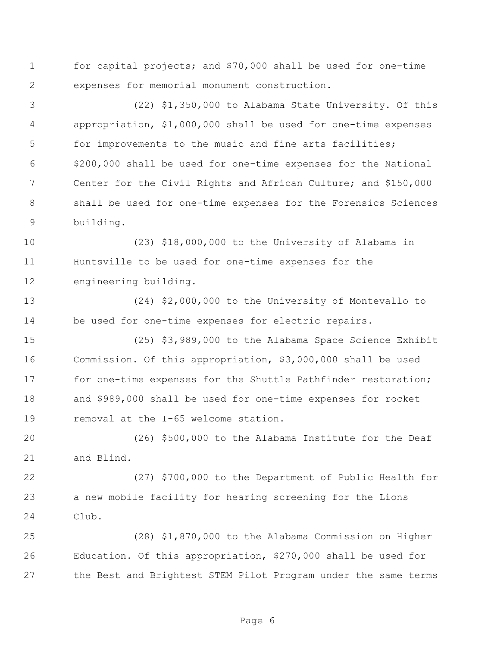for capital projects; and \$70,000 shall be used for one-time expenses for memorial monument construction.

 (22) \$1,350,000 to Alabama State University. Of this appropriation, \$1,000,000 shall be used for one-time expenses for improvements to the music and fine arts facilities; \$200,000 shall be used for one-time expenses for the National Center for the Civil Rights and African Culture; and \$150,000 shall be used for one-time expenses for the Forensics Sciences building.

 (23) \$18,000,000 to the University of Alabama in Huntsville to be used for one-time expenses for the engineering building.

 (24) \$2,000,000 to the University of Montevallo to be used for one-time expenses for electric repairs.

 (25) \$3,989,000 to the Alabama Space Science Exhibit Commission. Of this appropriation, \$3,000,000 shall be used 17 for one-time expenses for the Shuttle Pathfinder restoration; and \$989,000 shall be used for one-time expenses for rocket removal at the I-65 welcome station.

 (26) \$500,000 to the Alabama Institute for the Deaf and Blind.

 (27) \$700,000 to the Department of Public Health for a new mobile facility for hearing screening for the Lions Club.

 (28) \$1,870,000 to the Alabama Commission on Higher Education. Of this appropriation, \$270,000 shall be used for the Best and Brightest STEM Pilot Program under the same terms

Page 6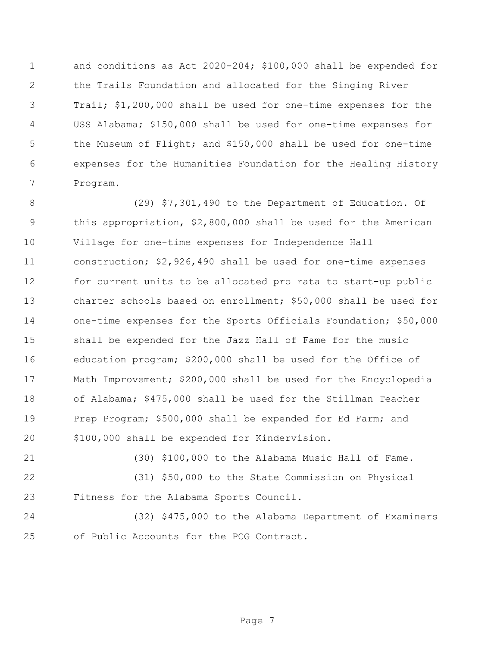and conditions as Act 2020-204; \$100,000 shall be expended for the Trails Foundation and allocated for the Singing River Trail; \$1,200,000 shall be used for one-time expenses for the USS Alabama; \$150,000 shall be used for one-time expenses for the Museum of Flight; and \$150,000 shall be used for one-time expenses for the Humanities Foundation for the Healing History Program.

 (29) \$7,301,490 to the Department of Education. Of this appropriation, \$2,800,000 shall be used for the American Village for one-time expenses for Independence Hall construction; \$2,926,490 shall be used for one-time expenses for current units to be allocated pro rata to start-up public charter schools based on enrollment; \$50,000 shall be used for one-time expenses for the Sports Officials Foundation; \$50,000 shall be expended for the Jazz Hall of Fame for the music education program; \$200,000 shall be used for the Office of Math Improvement; \$200,000 shall be used for the Encyclopedia of Alabama; \$475,000 shall be used for the Stillman Teacher Prep Program; \$500,000 shall be expended for Ed Farm; and \$100,000 shall be expended for Kindervision.

(30) \$100,000 to the Alabama Music Hall of Fame.

 (31) \$50,000 to the State Commission on Physical Fitness for the Alabama Sports Council.

 (32) \$475,000 to the Alabama Department of Examiners of Public Accounts for the PCG Contract.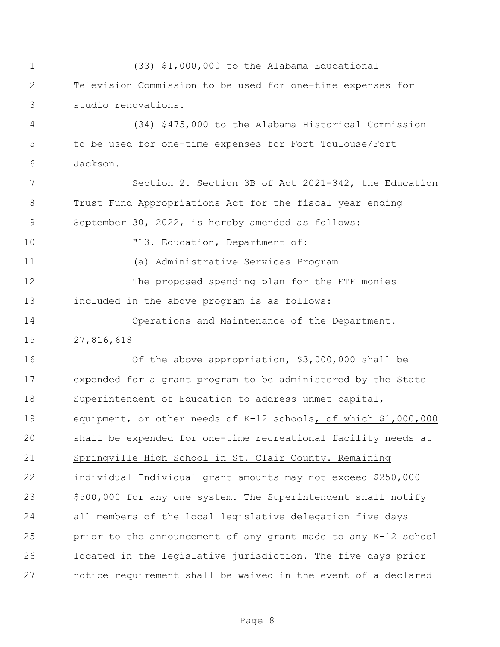(33) \$1,000,000 to the Alabama Educational Television Commission to be used for one-time expenses for studio renovations. (34) \$475,000 to the Alabama Historical Commission to be used for one-time expenses for Fort Toulouse/Fort Jackson. Section 2. Section 3B of Act 2021-342, the Education Trust Fund Appropriations Act for the fiscal year ending September 30, 2022, is hereby amended as follows:  $"13. Education, Department of:$  (a) Administrative Services Program The proposed spending plan for the ETF monies included in the above program is as follows: Operations and Maintenance of the Department. 27,816,618 Of the above appropriation, \$3,000,000 shall be expended for a grant program to be administered by the State Superintendent of Education to address unmet capital, equipment, or other needs of K-12 schools, of which \$1,000,000 shall be expended for one-time recreational facility needs at Springville High School in St. Clair County. Remaining 22 individual <del>Individual</del> grant amounts may not exceed \$250,000 \$500,000 for any one system. The Superintendent shall notify all members of the local legislative delegation five days prior to the announcement of any grant made to any K-12 school located in the legislative jurisdiction. The five days prior notice requirement shall be waived in the event of a declared